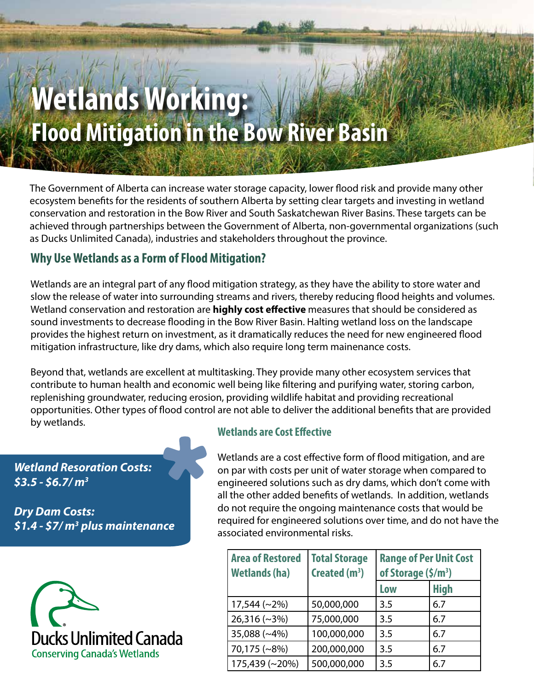# **Wetlands Working: Flood Mitigation in the Bow River Basin**

The Government of Alberta can increase water storage capacity, lower flood risk and provide many other ecosystem benefits for the residents of southern Alberta by setting clear targets and investing in wetland conservation and restoration in the Bow River and South Saskatchewan River Basins. These targets can be achieved through partnerships between the Government of Alberta, non-governmental organizations (such as Ducks Unlimited Canada), industries and stakeholders throughout the province.

## **Why Use Wetlands as a Form of Flood Mitigation?**

Wetlands are an integral part of any flood mitigation strategy, as they have the ability to store water and slow the release of water into surrounding streams and rivers, thereby reducing flood heights and volumes. Wetland conservation and restoration are **highly cost effective** measures that should be considered as sound investments to decrease flooding in the Bow River Basin. Halting wetland loss on the landscape provides the highest return on investment, as it dramatically reduces the need for new engineered flood mitigation infrastructure, like dry dams, which also require long term mainenance costs.

Beyond that, wetlands are excellent at multitasking. They provide many other ecosystem services that contribute to human health and economic well being like filtering and purifying water, storing carbon, replenishing groundwater, reducing erosion, providing wildlife habitat and providing recreational opportunities. Other types of flood control are not able to deliver the additional benefits that are provided by wetlands. **Wetlands are Cost Effective**

*Wetland Resoration Costs: \$3.5 - \$6.7/ m3*

*Dry Dam Costs: \$1.4 - \$7/ m3 plus maintenance*



Wetlands are a cost effective form of flood mitigation, and are on par with costs per unit of water storage when compared to engineered solutions such as dry dams, which don't come with all the other added benefits of wetlands. In addition, wetlands do not require the ongoing maintenance costs that would be required for engineered solutions over time, and do not have the associated environmental risks.

| <b>Area of Restored</b><br><b>Wetlands (ha)</b> | <b>Total Storage</b><br>Created $(m^3)$ | <b>Range of Per Unit Cost</b><br>of Storage $(\frac{\xi}{m^3})$ |             |
|-------------------------------------------------|-----------------------------------------|-----------------------------------------------------------------|-------------|
|                                                 |                                         | Low                                                             | <b>High</b> |
| $17,544$ (~2%)                                  | 50,000,000                              | 3.5                                                             | 6.7         |
| $26,316$ (~3%)                                  | 75,000,000                              | 3.5                                                             | 6.7         |
| 35,088 (~4%)                                    | 100,000,000                             | 3.5                                                             | 6.7         |
| 70,175 (~8%)                                    | 200,000,000                             | 3.5                                                             | 6.7         |
| 175,439 (~20%)                                  | 500,000,000                             | 3.5                                                             | 6.7         |